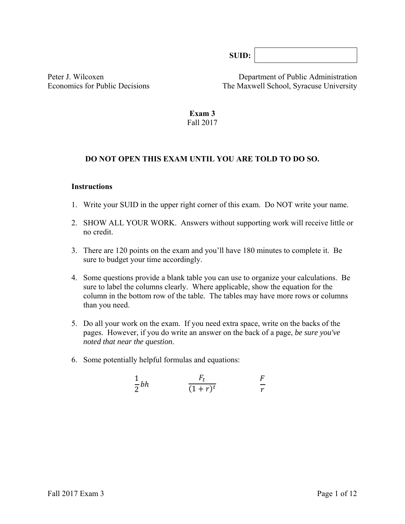**SUID:** 

Peter J. Wilcoxen Department of Public Administration Economics for Public Decisions The Maxwell School, Syracuse University

#### **Exam 3**  Fall 2017

### **DO NOT OPEN THIS EXAM UNTIL YOU ARE TOLD TO DO SO.**

#### **Instructions**

- 1. Write your SUID in the upper right corner of this exam. Do NOT write your name.
- 2. SHOW ALL YOUR WORK. Answers without supporting work will receive little or no credit.
- 3. There are 120 points on the exam and you'll have 180 minutes to complete it. Be sure to budget your time accordingly.
- 4. Some questions provide a blank table you can use to organize your calculations. Be sure to label the columns clearly. Where applicable, show the equation for the column in the bottom row of the table*.* The tables may have more rows or columns than you need.
- 5. Do all your work on the exam. If you need extra space, write on the backs of the pages. However, if you do write an answer on the back of a page, *be sure you've noted that near the question*.
- 6. Some potentially helpful formulas and equations:

$$
\frac{1}{2}bh \qquad \frac{F_t}{(1+r)^t} \qquad \frac{F}{r}
$$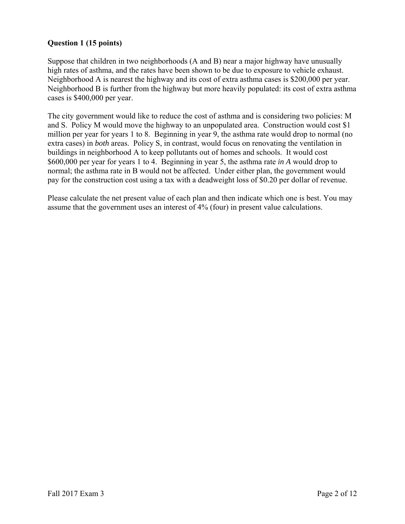### **Question 1 (15 points)**

Suppose that children in two neighborhoods (A and B) near a major highway have unusually high rates of asthma, and the rates have been shown to be due to exposure to vehicle exhaust. Neighborhood A is nearest the highway and its cost of extra asthma cases is \$200,000 per year. Neighborhood B is further from the highway but more heavily populated: its cost of extra asthma cases is \$400,000 per year.

The city government would like to reduce the cost of asthma and is considering two policies: M and S. Policy M would move the highway to an unpopulated area. Construction would cost \$1 million per year for years 1 to 8. Beginning in year 9, the asthma rate would drop to normal (no extra cases) in *both* areas. Policy S, in contrast, would focus on renovating the ventilation in buildings in neighborhood A to keep pollutants out of homes and schools. It would cost \$600,000 per year for years 1 to 4. Beginning in year 5, the asthma rate *in A* would drop to normal; the asthma rate in B would not be affected. Under either plan, the government would pay for the construction cost using a tax with a deadweight loss of \$0.20 per dollar of revenue.

Please calculate the net present value of each plan and then indicate which one is best. You may assume that the government uses an interest of 4% (four) in present value calculations.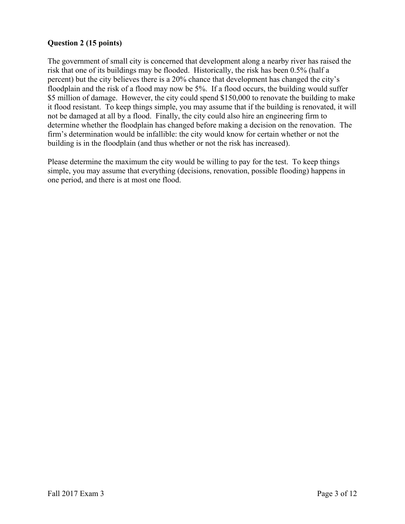## **Question 2 (15 points)**

The government of small city is concerned that development along a nearby river has raised the risk that one of its buildings may be flooded. Historically, the risk has been 0.5% (half a percent) but the city believes there is a 20% chance that development has changed the city's floodplain and the risk of a flood may now be 5%. If a flood occurs, the building would suffer \$5 million of damage. However, the city could spend \$150,000 to renovate the building to make it flood resistant. To keep things simple, you may assume that if the building is renovated, it will not be damaged at all by a flood. Finally, the city could also hire an engineering firm to determine whether the floodplain has changed before making a decision on the renovation. The firm's determination would be infallible: the city would know for certain whether or not the building is in the floodplain (and thus whether or not the risk has increased).

Please determine the maximum the city would be willing to pay for the test. To keep things simple, you may assume that everything (decisions, renovation, possible flooding) happens in one period, and there is at most one flood.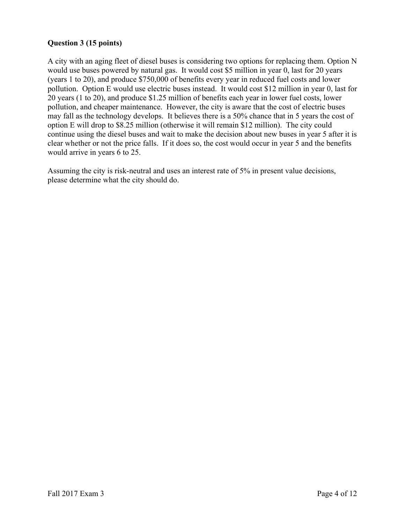# **Question 3 (15 points)**

A city with an aging fleet of diesel buses is considering two options for replacing them. Option N would use buses powered by natural gas. It would cost \$5 million in year 0, last for 20 years (years 1 to 20), and produce \$750,000 of benefits every year in reduced fuel costs and lower pollution. Option E would use electric buses instead. It would cost \$12 million in year 0, last for 20 years (1 to 20), and produce \$1.25 million of benefits each year in lower fuel costs, lower pollution, and cheaper maintenance. However, the city is aware that the cost of electric buses may fall as the technology develops. It believes there is a 50% chance that in 5 years the cost of option E will drop to \$8.25 million (otherwise it will remain \$12 million). The city could continue using the diesel buses and wait to make the decision about new buses in year 5 after it is clear whether or not the price falls. If it does so, the cost would occur in year 5 and the benefits would arrive in years 6 to 25.

Assuming the city is risk-neutral and uses an interest rate of 5% in present value decisions, please determine what the city should do.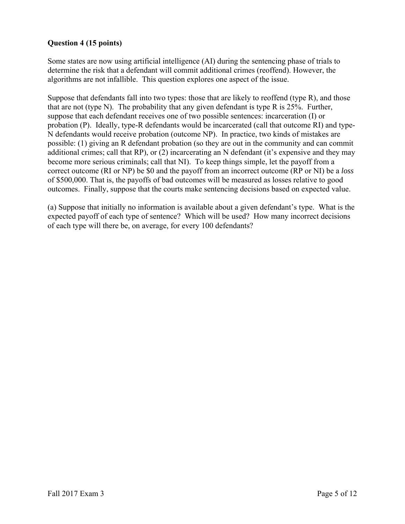# **Question 4 (15 points)**

Some states are now using artificial intelligence (AI) during the sentencing phase of trials to determine the risk that a defendant will commit additional crimes (reoffend). However, the algorithms are not infallible. This question explores one aspect of the issue.

Suppose that defendants fall into two types: those that are likely to reoffend (type R), and those that are not (type N). The probability that any given defendant is type R is  $25\%$ . Further, suppose that each defendant receives one of two possible sentences: incarceration (I) or probation (P). Ideally, type-R defendants would be incarcerated (call that outcome RI) and type-N defendants would receive probation (outcome NP). In practice, two kinds of mistakes are possible: (1) giving an R defendant probation (so they are out in the community and can commit additional crimes; call that RP), or (2) incarcerating an N defendant (it's expensive and they may become more serious criminals; call that NI). To keep things simple, let the payoff from a correct outcome (RI or NP) be \$0 and the payoff from an incorrect outcome (RP or NI) be a *loss* of \$500,000. That is, the payoffs of bad outcomes will be measured as losses relative to good outcomes. Finally, suppose that the courts make sentencing decisions based on expected value.

(a) Suppose that initially no information is available about a given defendant's type. What is the expected payoff of each type of sentence? Which will be used? How many incorrect decisions of each type will there be, on average, for every 100 defendants?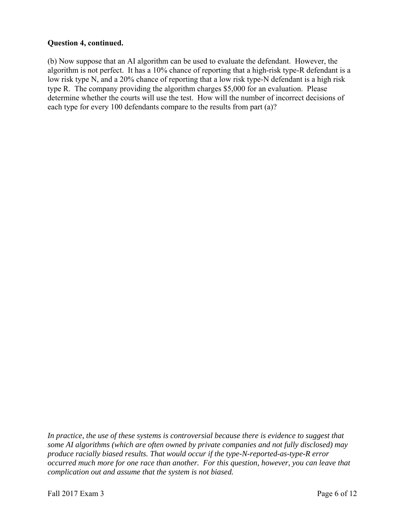### **Question 4, continued.**

(b) Now suppose that an AI algorithm can be used to evaluate the defendant. However, the algorithm is not perfect. It has a 10% chance of reporting that a high-risk type-R defendant is a low risk type N, and a 20% chance of reporting that a low risk type-N defendant is a high risk type R. The company providing the algorithm charges \$5,000 for an evaluation. Please determine whether the courts will use the test. How will the number of incorrect decisions of each type for every 100 defendants compare to the results from part (a)?

In practice, the use of these systems is controversial because there is evidence to suggest that *some AI algorithms (which are often owned by private companies and not fully disclosed) may produce racially biased results. That would occur if the type-N-reported-as-type-R error occurred much more for one race than another. For this question, however, you can leave that complication out and assume that the system is not biased.*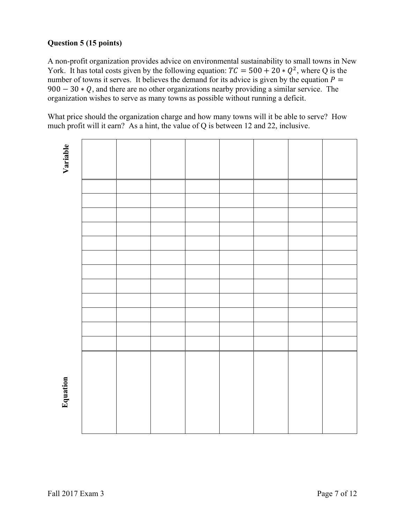# **Question 5 (15 points)**

A non-profit organization provides advice on environmental sustainability to small towns in New York. It has total costs given by the following equation:  $TC = 500 + 20 * Q^2$ , where Q is the number of towns it serves. It believes the demand for its advice is given by the equation  $P =$  $900 - 30 * Q$ , and there are no other organizations nearby providing a similar service. The organization wishes to serve as many towns as possible without running a deficit.

What price should the organization charge and how many towns will it be able to serve? How much profit will it earn? As a hint, the value of Q is between 12 and 22, inclusive.

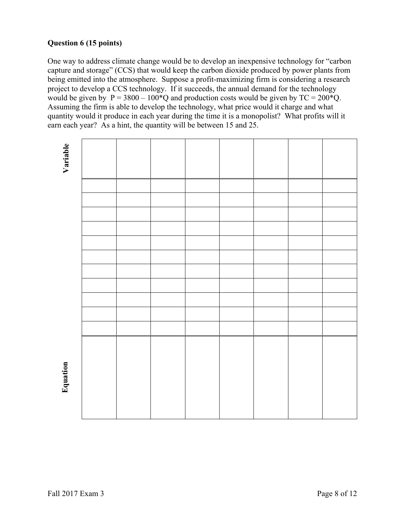# **Question 6 (15 points)**

One way to address climate change would be to develop an inexpensive technology for "carbon capture and storage" (CCS) that would keep the carbon dioxide produced by power plants from being emitted into the atmosphere. Suppose a profit-maximizing firm is considering a research project to develop a CCS technology. If it succeeds, the annual demand for the technology would be given by  $P = 3800 - 100^{\circ}Q$  and production costs would be given by  $TC = 200^{\circ}Q$ . Assuming the firm is able to develop the technology, what price would it charge and what quantity would it produce in each year during the time it is a monopolist? What profits will it earn each year? As a hint, the quantity will be between 15 and 25.

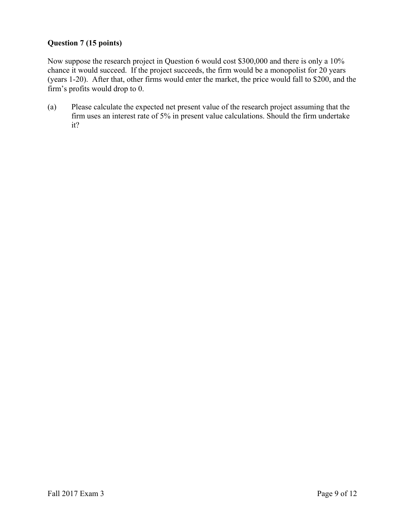# **Question 7 (15 points)**

Now suppose the research project in Question 6 would cost \$300,000 and there is only a 10% chance it would succeed. If the project succeeds, the firm would be a monopolist for 20 years (years 1-20). After that, other firms would enter the market, the price would fall to \$200, and the firm's profits would drop to 0.

(a) Please calculate the expected net present value of the research project assuming that the firm uses an interest rate of 5% in present value calculations. Should the firm undertake it?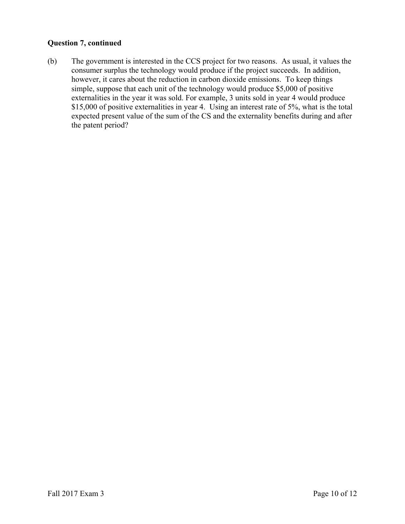### **Question 7, continued**

(b) The government is interested in the CCS project for two reasons. As usual, it values the consumer surplus the technology would produce if the project succeeds. In addition, however, it cares about the reduction in carbon dioxide emissions. To keep things simple, suppose that each unit of the technology would produce \$5,000 of positive externalities in the year it was sold. For example, 3 units sold in year 4 would produce \$15,000 of positive externalities in year 4. Using an interest rate of 5%, what is the total expected present value of the sum of the CS and the externality benefits during and after the patent period?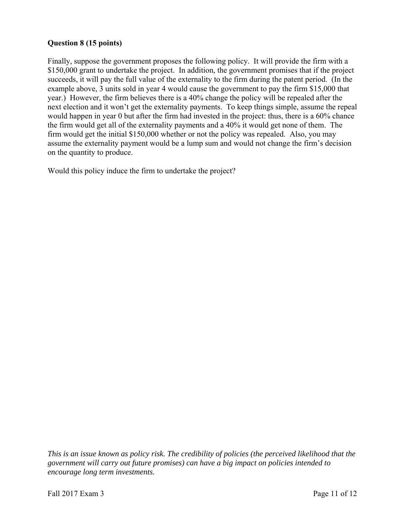### **Question 8 (15 points)**

Finally, suppose the government proposes the following policy. It will provide the firm with a \$150,000 grant to undertake the project. In addition, the government promises that if the project succeeds, it will pay the full value of the externality to the firm during the patent period. (In the example above, 3 units sold in year 4 would cause the government to pay the firm \$15,000 that year.) However, the firm believes there is a 40% change the policy will be repealed after the next election and it won't get the externality payments. To keep things simple, assume the repeal would happen in year 0 but after the firm had invested in the project: thus, there is a 60% chance the firm would get all of the externality payments and a 40% it would get none of them. The firm would get the initial \$150,000 whether or not the policy was repealed. Also, you may assume the externality payment would be a lump sum and would not change the firm's decision on the quantity to produce.

Would this policy induce the firm to undertake the project?

*This is an issue known as policy risk. The credibility of policies (the perceived likelihood that the government will carry out future promises) can have a big impact on policies intended to encourage long term investments.*